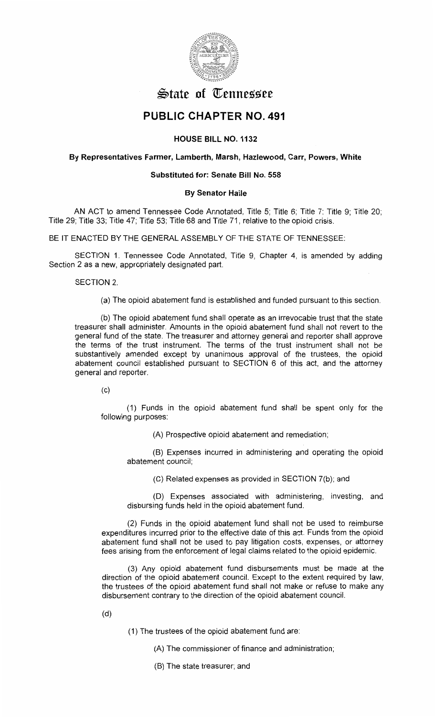

# $\mathfrak{S}$ tate of Tennessee

## **PUBLIC CHAPTER NO. 491**

### **HOUSE BILL NO. 1132**

#### **By Representatives Farmer, Lamberth, Marsh, Hazlewood, Carr, Powers, White**

#### **Substituted for: Senate Bill No. 558**

#### **By Senator Haile**

AN ACT to amend Tennessee Code Annotated, Title 5; Title 6; Title 7; Title 9; Title 20; Title 29; Title 33; Title 47; Title 53; Title 68 and Title 71, relative to the opioid crisis.

BE IT ENACTED BY THE GENERAL ASSEMBLY OF THE STATE OF TENNESSEE:

SECTION 1. Tennessee Code Annotated, Title 9, Chapter 4, is amended by adding Section 2 as a new, appropriately designated part.

SECTION 2.

(a) The opioid abatement fund is established and funded pursuant to this section.

(b) The opioid abatement fund shall operate as an irrevocable trust that the state treasurer shall administer. Amounts in the opioid abatement fund shall not revert to the general fund of the state. The treasurer and attorney general and reporter shall approve the terms of the trust instrument. The terms of the trust instrument shall not be substantively amended except by unanimous approval of the trustees, the opioid abatement council established pursuant to SECTION 6 of this act, and the attorney general and reporter.

 $(c)$ 

(1) Funds in the opioid abatement fund shall be spent only for the following purposes:

(A) Prospective opioid abatement and remediation;

(B) Expenses incurred in administering and operating the opioid abatement council;

(C) Related expenses as provided in SECTION 7(b); and

(D) Expenses associated with administering, investing, and disbursing funds held in the opioid abatement fund.

(2) Funds in the opioid abatement fund shall not be used to reimburse expenditures incurred prior to the effective date of this act. Funds from the opioid abatement fund shall not be used to pay litigation costs, expenses, or attorney fees arising from the enforcement of legal claims related to the opioid epidemic.

(3) Any opioid abatement fund disbursements must be made at the direction of the opioid abatement council. Except to the extent required by law, the trustees of the opioid abatement fund shall not make or refuse to make any disbursement contrary to the direction of the opioid abatement council.

(d)

(1) The trustees of the opioid abatement fund are:

(A) The commissioner of finance and administration;

(B) The state treasurer; and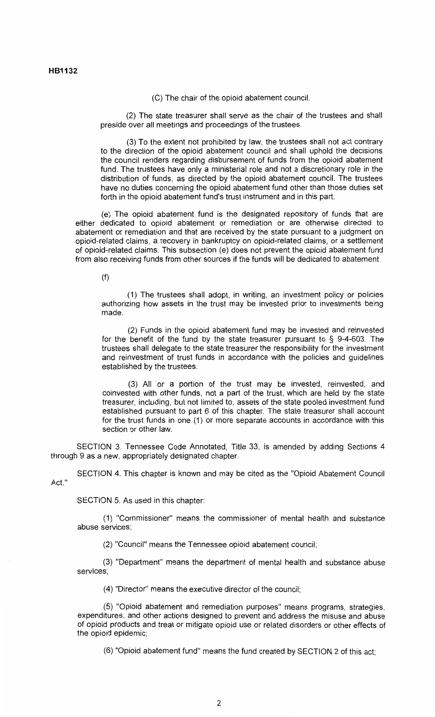(C) The chair of the opioid abatement council.

(2) The state treasurer shall serve as the chair of the trustees and shall preside over all meetings and proceedings of the trustees.

(3) To the extent not prohibited by law, the trustees shall not act contrary to the direction of the opioid abatement council and shall uphold the decisions the council renders regarding disbursement of funds from the opioid abatement fund. The trustees have only a ministerial role and not a discretionary role in the distribution of funds, as directed by the opioid abatement council. The trustees have no duties concerning the opioid abatement fund other than those duties set forth in the opioid abatement fund's trust instrument and in this part.

(e) The opioid abatement fund is the designated repository of funds that are either dedicated to opioid abatement or remediation or are otherwise directed to abatement or remediation and that are received by the state pursuant to a judgment on opioid-related claims, a recovery in bankruptcy on opioid-related claims, or a settlement of opioid-related claims. This subsection (e) does not prevent the opioid abatement fund from also receiving funds from other sources if the funds will be dedicated to abatement.

(f)

(1) The trustees shall adopt, in writing, an investment policy or policies authorizing how assets in the trust may be invested prior to investments being made.

(2) Funds in the opioid abatement fund may be invested and reinvested for the benefit of the fund by the state treasurer pursuant to § 9-4-603. The trustees shall delegate to the state treasurer the responsibility for the investment and reinvestment of trust funds in accordance with the policies and guidelines established by the trustees.

(3) All or a portion of the trust may be invested, reinvested, and coinvested with other funds, not a part of the trust, which are held by the state treasurer, including, but not limited to, assets of the state pooled investment fund established pursuant to part 6 of this chapter. The state treasurer shall account for the trust funds in one (1) or more separate accounts in accordance with this section or other law.

SECTION 3. Tennessee Code Annotated, Title 33, is amended by adding Sections 4 through 9 as a new, appropriately designated chapter.

SECTION 4. This chapter is known and may be cited as the "Opioid Abatement Council Act."

SECTION 5. As used in this chapter:

(1) "Commissioner" means the commissioner of mental health and substance abuse services;

(2) "Council" means the Tennessee opioid abatement council;

(3) "Department" means the department of mental health and substance abuse services;

(4) "Director" means the executive director of the council;

(5) "Opioid abatement and remediation purposes" means programs, strategies, expenditures, and other actions designed to prevent and address the misuse and abuse of opioid products and treat or mitigate opioid use or related disorders or other effects of the opioid epidemic;

(6) "Opioid abatement fund" means the fund created by SECTION 2 of this act;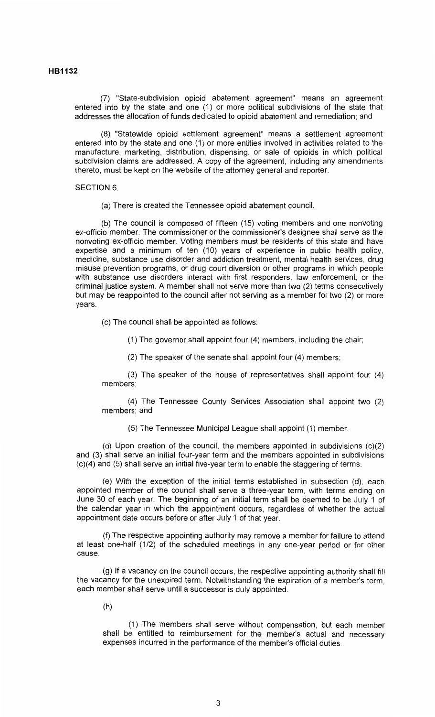(7) "State-subdivision opioid abatement agreement" means an agreement entered into by the state and one (1) or more political subdivisions of the state that addresses the allocation of funds dedicated to opioid abatement and remediation; and

(8) "Statewide opioid settlement agreement" means a settlement agreement entered into by the state and one (1) or more entities involved in activities related to the manufacture, marketing, distribution, dispensing, or sale of opioids in which political subdivision claims are addressed. A copy of the agreement, including any amendments thereto, must be kept on the website of the attorney general and reporter.

#### SECTION 6.

(a) There is created the Tennessee opioid abatement council.

(b) The council is composed of fifteen (15) voting members and one nonvoting ex-officio member. The commissioner or the commissioner's designee shall serve as the nonvoting ex-officio member. Voting members must be residents of this state and have expertise and a minimum of ten (10) years of experience in public health policy, medicine, substance use disorder and addiction treatment, mental health services, drug misuse prevention programs, or drug court diversion or other programs in which people with substance use disorders interact with first responders, law enforcement, or the criminal justice system. A member shall not serve more than two (2) terms consecutively but may be reappointed to the council after not serving as a member for two (2) or more years.

(c) The council shall be appointed as follows:

(1) The governor shall appoint four (4) members, including the chair;

(2) The speaker of the senate shall appoint four (4) members;

(3) The speaker of the house of representatives shall appoint four (4) members;

(4) The Tennessee County Services Association shall appoint two (2) members; and

(5) The Tennessee Municipal League shall appoint (1) member.

(d) Upon creation of the council, the members appointed in subdivisions (c)(2) and (3) shall serve an initial four-year term and the members appointed in subdivisions (c)(4) and (5) shall serve an initial five-year term to enable the staggering of terms.

(e) With the exception of the initial terms established in subsection (d), each appointed member of the council shall serve a three-year term, with terms ending on June 30 of each year. The beginning of an initial term shall be deemed to be July 1 of the calendar year in which the appointment occurs, regardless of whether the actual appointment date occurs before or after July 1 of that year.

(f) The respective appointing authority may remove a member for failure to attend at least one-half (1/2) of the scheduled meetings in any one-year period or for other cause.

(g) If a vacancy on the council occurs, the respective appointing authority shall fill the vacancy for the unexpired term. Notwithstanding the expiration of a member's term, each member shall serve until a successor is duly appointed.

(h)

(1) The members shall serve without compensation, but each member shall be entitled to reimbursement for the member's actual and necessary expenses incurred in the performance of the member's official duties.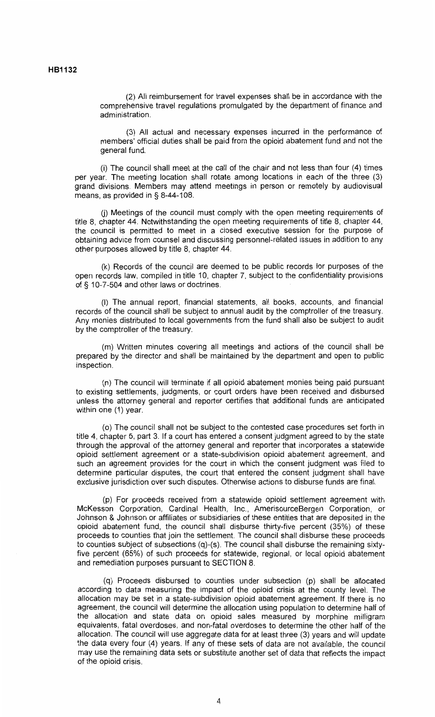(2) All reimbursement for travel expenses shall be in accordance with the comprehensive travel regulations promulgated by the department of finance and administration.

(3) All actual and necessary expenses incurred in the performance of members' official duties shall be paid from the opioid abatement fund and not the general fund.

(i) The council shall meet at the call of the chair and not less than four (4) times per year. The meeting location shall rotate among locations in each of the three (3) grand divisions. Members may attend meetings in person or remotely by audiovisual means, as provided in§ 8-44-108.

(j) Meetings of the council must comply with the open meeting requirements of title 8, chapter 44. Notwithstanding the open meeting requirements of title 8, chapter 44, the council is permitted to meet in a closed executive session for the purpose of obtaining advice from counsel and discussing personnel-related issues in addition to any other purposes allowed by title 8, chapter 44.

(k) Records of the council are deemed to be public records for purposes of the open records law, compiled in title 10, chapter 7, subject to the confidentiality provisions of § 10-7-504 and other laws or doctrines.

(I) The annual report, financial statements, all books, accounts, and financial records of the council shall be subject to annual audit by the comptroller of the treasury. Any monies distributed to local governments from the fund shall also be subject to audit by the comptroller of the treasury.

(m) Written minutes covering all meetings and actions of the council shall be prepared by the director and shall be maintained by the department and open to public inspection.

(n) The council will terminate if all opioid abatement monies being paid pursuant to existing settlements, judgments, or court orders have been received and disbursed unless the attorney general and reporter certifies that additional funds are anticipated within one (1) year.

(o) The council shall not be subject to the contested case procedures set forth in title 4, chapter 5, part 3. If a court has entered a consent judgment agreed to by the state through the approval of the attorney general and reporter that incorporates a statewide opioid settlement agreement or a state-subdivision opioid abatement agreement, and such an agreement provides for the court in which the consent judgment was filed to determine particular disputes, the court that entered the consent judgment shall have exclusive jurisdiction over such disputes. Otherwise actions to disburse funds are final.

(p) For proceeds received from a statewide opioid settlement agreement with McKesson Corporation, Cardinal Health, Inc., AmerisourceBergen Corporation, or Johnson & Johnson or affiliates or subsidiaries of these entities that are deposited in the opioid abatement fund, the council shall disburse thirty-five percent (35%) of these proceeds to counties that join the settlement. The council shall disburse these proceeds to counties subject of subsections (q)-(s). The council shall disburse the remaining sixtyfive percent (65%) of such proceeds for statewide, regional, or local opioid abatement and remediation purposes pursuant to SECTION 8.

(q) Proceeds disbursed to counties under subsection (p) shall be allocated according to data measuring the impact of the opioid crisis at the county level. The allocation may be set in a state-subdivision opioid abatement agreement. If there is no agreement, the council will determine the allocation using population to determine half of the allocation and state data on opioid sales measured by morphine milligram equivalents, fatal overdoses, and non-fatal overdoses to determine the other half of the allocation. The council will use aggregate data for at least three (3) years and will update the data every four (4) years. If any of these sets of data are not available, the council may use the remaining data sets or substitute another set of data that reflects the impact of the opioid crisis.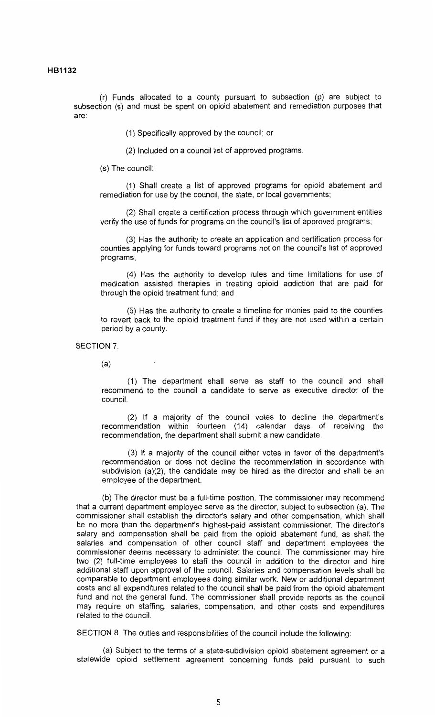(r) Funds allocated to a county pursuant to subsection (p) are subject to subsection (s) and must be spent on opioid abatement and remediation purposes that are:

(1) Specifically approved by the council; or

(2) Included on a council list of approved programs.

(s) The council:

(1) Shall create a list of approved programs for opioid abatement and remediation for use by the council, the state, or local governments;

(2) Shall create a certification process through which government entities verify the use of funds for programs on the council's list of approved programs;

(3) Has the authority to create an application and certification process for counties applying for funds toward programs not on the council's list of approved programs;

(4) Has the authority to develop rules and time limitations for use of medication assisted therapies in treating opioid addiction that are paid for through the opioid treatment fund; and

(5) Has the authority to create a timeline for monies paid to the counties to revert back to the opioid treatment fund if they are not used within a certain period by a county.

SECTION 7.

(a)

( 1) The department shall serve as staff to the council and shall recommend to the council a candidate to serve as executive director of the council.

(2) If a majority of the council votes to decline the department's recommendation within fourteen (14) calendar days of receiving the recommendation, the department shall submit a new candidate.

(3) If a majority of the council either votes in favor of the department's recommendation or does not decline the recommendation in accordance with subdivision (a)(2), the candidate may be hired as the director and shall be an employee of the department.

(b) The director must be a full-time position. The commissioner may recommend that a current department employee serve as the director, subject to subsection (a). The commissioner shall establish the director's salary and other compensation, which shall be no more than the department's highest-paid assistant commissioner. The director's salary and compensation shall be paid from the opioid abatement fund, as shall the salaries and compensation of other council staff and department employees the commissioner deems necessary to administer the council. The commissioner may hire two (2) full-time employees to staff the council in addition to the director and hire additional staff upon approval of the council. Salaries and compensation levels shall be comparable to department employees doing similar work. New or additional department costs and all expenditures related to the council shall be paid from the opioid abatement fund and not the general fund. The commissioner shall provide reports as the council may require on staffing, salaries, compensation, and other costs and expenditures related to the council.

SECTION 8. The duties and responsibilities of the council include the following:

(a) Subject to the terms of a state-subdivision opioid abatement agreement or a statewide opioid settlement agreement concerning funds paid pursuant to such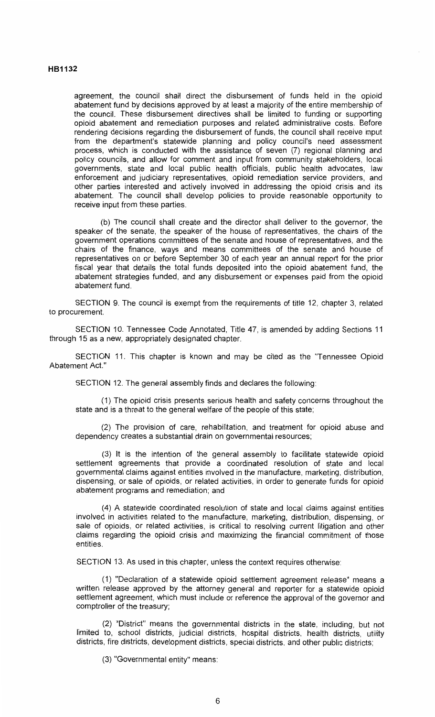#### **HB1132**

agreement, the council shall direct the disbursement of funds held in the opioid abatement fund by decisions approved by at least a majority of the entire membership of the council. These disbursement directives shall be limited to funding or supporting opioid abatement and remediation purposes and related administrative costs. Before rendering decisions regarding the disbursement of funds, the council shall receive input from the department's statewide planning and policy council's need assessment process, which is conducted with the assistance of seven (7) regional planning and policy councils, and allow for comment and input from community stakeholders, local governments, state and local public health officials, public health advocates, law enforcement and judiciary representatives, opioid remediation service providers, and other parties interested and actively involved in addressing the opioid crisis and its abatement. The council shall develop policies to provide reasonable opportunity to receive input from these parties.

(b) The council shall create and the director shall deliver to the governor, the speaker of the senate, the speaker of the house of representatives, the chairs of the government operations committees of the senate and house of representatives, and the chairs of the finance, ways and means committees of the senate and house of representatives on or before September 30 of each year an annual report for the prior fiscal year that details the total funds deposited into the opioid abatement fund, the abatement strategies funded, and any disbursement or expenses paid from the opioid abatement fund.

SECTION 9. The council is exempt from the requirements of title 12, chapter 3, related to procurement.

SECTION 10. Tennessee Code Annotated, Title 47, is amended by adding Sections 11 through 15 as a new, appropriately designated chapter.

SECTION 11. This chapter is known and may be cited as the "Tennessee Opioid Abatement Act."

SECTION 12. The general assembly finds and declares the following:

(1) The opioid crisis presents serious health and safety concerns throughout the state and is a threat to the general welfare of the people of this state;

(2) The provision of care, rehabilitation, and treatment for opioid abuse and dependency creates a substantial drain on governmental resources;

(3) It is the intention of the general assembly to facilitate statewide opioid settlement agreements that provide a coordinated resolution of state and local governmental claims against entities involved in the manufacture, marketing, distribution, dispensing, or sale of opioids, or related activities, in order to generate funds for opioid abatement programs and remediation; and

(4) A statewide coordinated resolution of state and local claims against entities involved in activities related to the manufacture, marketing, distribution, dispensing, or sale of opioids, or related activities, is critical to resolving current litigation and other claims regarding the opioid crisis and maximizing the financial commitment of those entities.

SECTION 13. As used in this chapter, unless the context requires otherwise:

( 1) "Declaration of a statewide opioid settlement agreement release" means a written release approved by the attorney general and reporter for a statewide opioid settlement agreement, which must include or reference the approval of the governor and comptroller of the treasury;

(2) "District" means the governmental districts in the state, including, but not limited to, school districts, judicial districts, hospital districts, health districts, utility districts, fire districts, development districts, special districts, and other public districts;

(3) "Governmental entity" means: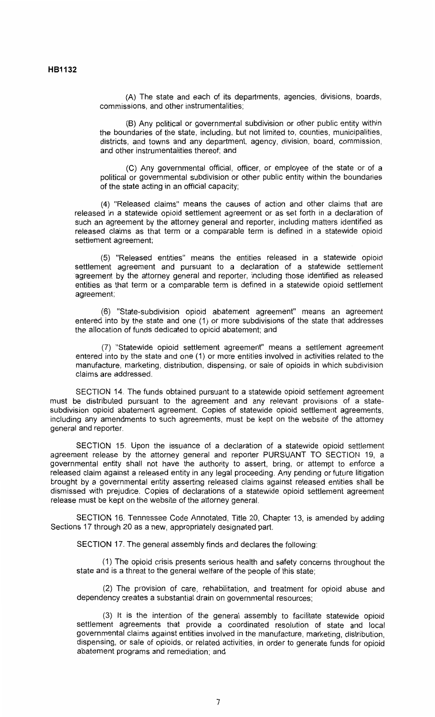(A) The state and each of its departments, agencies, divisions, boards, commissions, and other instrumentalities;

(B) Any political or governmental subdivision or other public entity within the boundaries of the state, including, but not limited to, counties, municipalities, districts, and towns and any department, agency, division, board, commission, and other instrumentalities thereof; and

(C) Any governmental official, officer, or employee of the state or of a political or governmental subdivision or other public entity within the boundaries of the state acting in an official capacity;

(4) "Released claims" means the causes of action and other claims that are released in a statewide opioid settlement agreement or as set forth in a declaration of such an agreement by the attorney general and reporter, including matters identified as released claims as that term or a comparable term is defined in a statewide opioid settlement agreement;

(5) "Released entities" means the entities released in a statewide opioid settlement agreement and pursuant to a declaration of a statewide settlement 'agreement by the attorney general and reporter, including those identified as released entities as that term or a comparable term is defined in a statewide opioid settlement agreement;

(6) "State-subdivision opioid abatement agreement" means an agreement entered into by the state and one (1) or more subdivisions of the state that addresses the allocation of funds dedicated to opioid abatement; and

(7) "Statewide opioid settlement agreement" means a settlement agreement entered into by the state and one (1) or more entities involved in activities related to the manufacture, marketing, distribution, dispensing, or sale of opioids in which subdivision claims are addressed.

SECTION 14. The funds obtained pursuant to a statewide opioid settlement agreement must be distributed pursuant to the agreement and any relevant provisions of a statesubdivision opioid abatement agreement. Copies of statewide opioid settlement agreements, including any amendments to such agreements, must be kept on the website of the attorney general and reporter.

SECTION 15. Upon the issuance of a declaration of a statewide opioid settlement agreement release by the attorney general and reporter PURSUANT TO SECTION 19, a governmental entity shall not have the authority to assert, bring, or attempt to enforce a released claim against a released entity in any legal proceeding. Any pending or future litigation brought by a governmental entity asserting released claims against released entities shall be dismissed with prejudice. Copies of declarations of a statewide opioid settlement agreement release must be kept on the website of the attorney general.

SECTION 16. Tennessee Code Annotated, Title 20, Chapter 13, is amended by adding Sections 17 through 20 as a new, appropriately designated part.

SECTION 17. The general assembly finds and declares the following:

(1) The opioid crisis presents serious health and safety concerns throughout the state and is a threat to the general welfare of the people of this state;

(2) The provision of care, rehabilitation, and treatment for opioid abuse and dependency creates a substantial drain on governmental resources;

(3) It is the intention of the general assembly to facilitate statewide opioid settlement agreements that provide a coordinated resolution of state and local governmental claims against entities involved in the manufacture, marketing, distribution, dispensing, or sale of opioids, or related activities, in order to generate funds for opioid abatement programs and remediation; and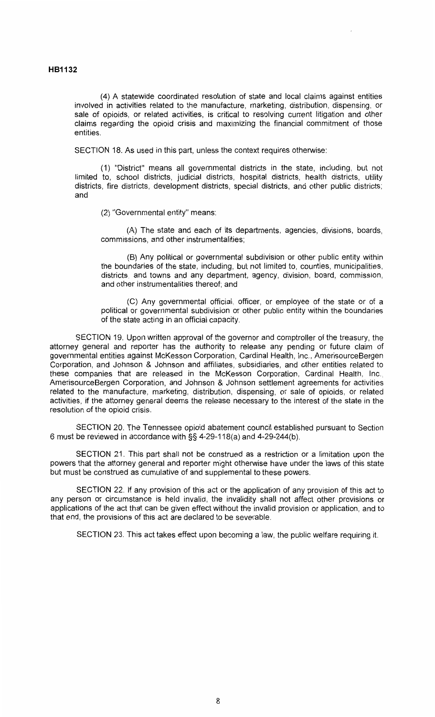(4) A statewide coordinated resolution of state and local claims against entities involved in activities related to the manufacture, marketing, distribution, dispensing, or sale of opioids, or related activities, is critical to resolving current litigation and other claims regarding the opioid crisis and maximizing the financial commitment of those entities.

SECTION 18. As used in this part, unless the context requires otherwise:

(1) "District" means all governmental districts in the state, including, but not limited to, school districts, judicial districts, hospital districts, health districts, utility districts, fire districts, development districts, special districts, and other public districts; and

(2) "Governmental entity" means:

(A) The state and each of its departments, agencies, divisions, boards, commissions, and other instrumentalities;

(B) Any political or governmental subdivision or other public entity within the boundaries of the state, including, but not limited to, counties, municipalities, districts and towns and any department, agency, division, board, commission, and other instrumentalities thereof; and

(C) Any governmental official, officer, or employee of the state or of a political or governmental subdivision or other public entity within the boundaries of the state acting in an official capacity.

SECTION 19. Upon written approval of the governor and comptroller of the treasury, the attorney general and reporter has the authority to release any pending or future claim of governmental entities against McKesson Corporation, Cardinal Health, Inc., AmerisourceBergen Corporation, and Johnson & Johnson and affiliates, subsidiaries, and other entities related to these companies that are released in the McKesson Corporation, Cardinal Health, Inc., AmerisourceBergen Corporation, and Johnson & Johnson settlement agreements for activities related to the manufacture, marketing, distribution, dispensing, or sale of opioids, or related activities, if the attorney general deems the release necessary to the interest of the state in the resolution of the opioid crisis.

SECTION 20. The Tennessee opioid abatement council established pursuant to Section 6 must be reviewed in accordance with§§ 4-29-118(a) and 4-29-244(b).

SECTION 21. This part shall not be construed as a restriction or a limitation upon the powers that the attorney general and reporter might otherwise have under the laws of this state but must be construed as cumulative of and supplemental to these powers.

SECTION 22. If any provision of this act or the application of any provision of this act to any person or circumstance is held invalid, the invalidity shall not affect other provisions or applications of the act that can be given effect without the invalid provision or application, and to that end, the provisions of this act are declared to be severable.

SECTION 23. This act takes effect upon becoming a law, the public welfare requiring it.